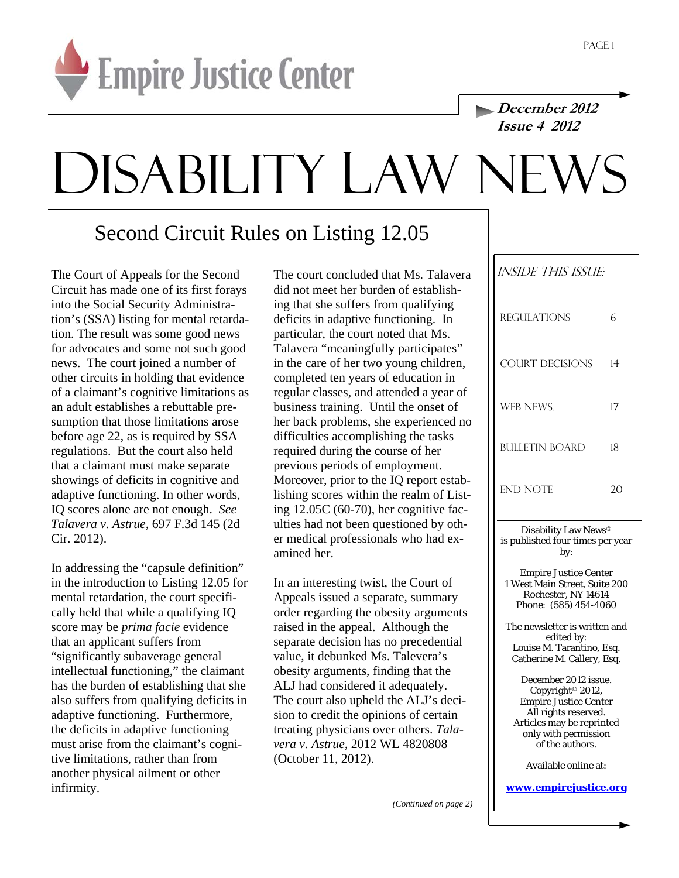

**December 2012 Issue 4 2012** 

# DISABILITY LAW NE

## Second Circuit Rules on Listing 12.05

The Court of Appeals for the Second Circuit has made one of its first forays into the Social Security Administration's (SSA) listing for mental retardation. The result was some good news for advocates and some not such good news. The court joined a number of other circuits in holding that evidence of a claimant's cognitive limitations as an adult establishes a rebuttable presumption that those limitations arose before age 22, as is required by SSA regulations. But the court also held that a claimant must make separate showings of deficits in cognitive and adaptive functioning. In other words, IQ scores alone are not enough. *See Talavera v. Astrue,* 697 F.3d 145 (2d Cir. 2012).

In addressing the "capsule definition" in the introduction to Listing 12.05 for mental retardation, the court specifically held that while a qualifying IQ score may be *prima facie* evidence that an applicant suffers from "significantly subaverage general intellectual functioning," the claimant has the burden of establishing that she also suffers from qualifying deficits in adaptive functioning. Furthermore, the deficits in adaptive functioning must arise from the claimant's cognitive limitations, rather than from another physical ailment or other infirmity.

The court concluded that Ms. Talavera did not meet her burden of establishing that she suffers from qualifying deficits in adaptive functioning. In particular, the court noted that Ms. Talavera "meaningfully participates" in the care of her two young children, completed ten years of education in regular classes, and attended a year of business training. Until the onset of her back problems, she experienced no difficulties accomplishing the tasks required during the course of her previous periods of employment. Moreover, prior to the IQ report establishing scores within the realm of Listing 12.05C (60-70), her cognitive faculties had not been questioned by other medical professionals who had examined her.

In an interesting twist, the Court of Appeals issued a separate, summary order regarding the obesity arguments raised in the appeal. Although the separate decision has no precedential value, it debunked Ms. Talevera's obesity arguments, finding that the ALJ had considered it adequately. The court also upheld the ALJ's decision to credit the opinions of certain treating physicians over others. *Talavera v. Astrue,* 2012 WL 4820808 (October 11, 2012).

| INSIDE THIS ISSUE:    |    |
|-----------------------|----|
| <b>REGULATIONS</b>    | 6  |
| COURT DECISIONS       | 14 |
| WEB NEWS.             | 17 |
| <b>BULLETIN BOARD</b> | 18 |
| <b>END NOTE</b>       |    |

Disability Law News© is published four times per year by:

Empire Justice Center 1 West Main Street, Suite 200 Rochester, NY 14614 Phone: (585) 454-4060

The newsletter is written and edited by: Louise M. Tarantino, Esq. Catherine M. Callery, Esq.

December 2012 issue. Copyright© 2012, Empire Justice Center All rights reserved. Articles may be reprinted only with permission of the authors.

Available online at:

#### **www.empirejustice.org**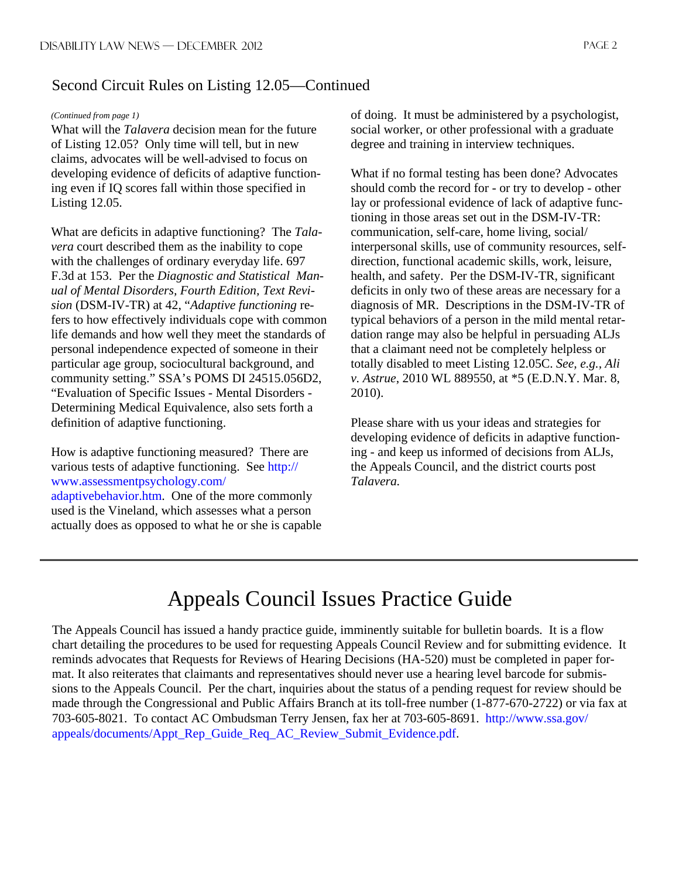#### Second Circuit Rules on Listing 12.05—Continued

#### *(Continued from page 1)*

What will the *Talavera* decision mean for the future of Listing 12.05? Only time will tell, but in new claims, advocates will be well-advised to focus on developing evidence of deficits of adaptive functioning even if IQ scores fall within those specified in Listing 12.05.

What are deficits in adaptive functioning? The *Talavera* court described them as the inability to cope with the challenges of ordinary everyday life. 697 F.3d at 153. Per the *Diagnostic and Statistical Manual of Mental Disorders, Fourth Edition, Text Revision* (DSM-IV-TR) at 42, "*Adaptive functioning* refers to how effectively individuals cope with common life demands and how well they meet the standards of personal independence expected of someone in their particular age group, sociocultural background, and community setting." SSA's POMS DI 24515.056D2, "Evaluation of Specific Issues - Mental Disorders - Determining Medical Equivalence, also sets forth a definition of adaptive functioning.

How is adaptive functioning measured? There are various tests of adaptive functioning. See http:// www.assessmentpsychology.com/ adaptivebehavior.htm. One of the more commonly used is the Vineland, which assesses what a person actually does as opposed to what he or she is capable of doing. It must be administered by a psychologist, social worker, or other professional with a graduate degree and training in interview techniques.

What if no formal testing has been done? Advocates should comb the record for - or try to develop - other lay or professional evidence of lack of adaptive functioning in those areas set out in the DSM-IV-TR: communication, self-care, home living, social/ interpersonal skills, use of community resources, selfdirection, functional academic skills, work, leisure, health, and safety. Per the DSM-IV-TR, significant deficits in only two of these areas are necessary for a diagnosis of MR. Descriptions in the DSM-IV-TR of typical behaviors of a person in the mild mental retardation range may also be helpful in persuading ALJs that a claimant need not be completely helpless or totally disabled to meet Listing 12.05C. *See, e.g., Ali v. Astrue*, 2010 WL 889550, at \*5 (E.D.N.Y. Mar. 8, 2010).

Please share with us your ideas and strategies for developing evidence of deficits in adaptive functioning - and keep us informed of decisions from ALJs, the Appeals Council, and the district courts post *Talavera.* 

## Appeals Council Issues Practice Guide

The Appeals Council has issued a handy practice guide, imminently suitable for bulletin boards. It is a flow chart detailing the procedures to be used for requesting Appeals Council Review and for submitting evidence. It reminds advocates that Requests for Reviews of Hearing Decisions (HA-520) must be completed in paper format. It also reiterates that claimants and representatives should never use a hearing level barcode for submissions to the Appeals Council. Per the chart, inquiries about the status of a pending request for review should be made through the Congressional and Public Affairs Branch at its toll-free number (1-877-670-2722) or via fax at 703-605-8021. To contact AC Ombudsman Terry Jensen, fax her at 703-605-8691. http://www.ssa.gov/ appeals/documents/Appt\_Rep\_Guide\_Req\_AC\_Review\_Submit\_Evidence.pdf.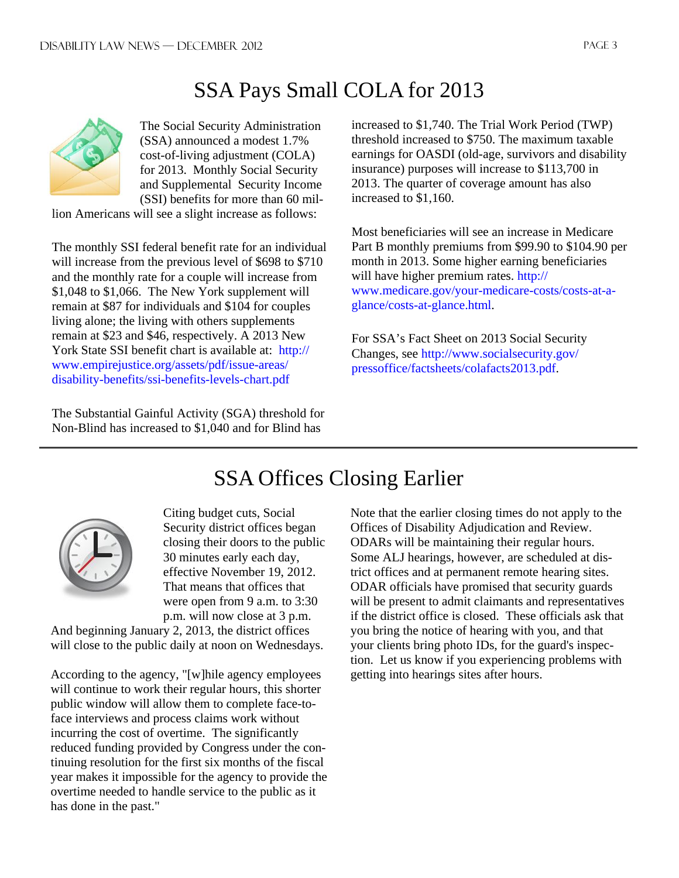# SSA Pays Small COLA for 2013



The Social Security Administration (SSA) announced a modest 1.7% cost-of-living adjustment (COLA) for 2013. Monthly Social Security and Supplemental Security Income (SSI) benefits for more than 60 mil-

lion Americans will see a slight increase as follows:

The monthly SSI federal benefit rate for an individual will increase from the previous level of \$698 to \$710 and the monthly rate for a couple will increase from \$1,048 to \$1,066. The New York supplement will remain at \$87 for individuals and \$104 for couples living alone; the living with others supplements remain at \$23 and \$46, respectively. A 2013 New York State SSI benefit chart is available at: http:// www.empirejustice.org/assets/pdf/issue-areas/ disability-benefits/ssi-benefits-levels-chart.pdf

The Substantial Gainful Activity (SGA) threshold for Non-Blind has increased to \$1,040 and for Blind has

increased to \$1,740. The Trial Work Period (TWP) threshold increased to \$750. The maximum taxable earnings for OASDI (old-age, survivors and disability insurance) purposes will increase to \$113,700 in 2013. The quarter of coverage amount has also increased to \$1,160.

Most beneficiaries will see an increase in Medicare Part B monthly premiums from \$99.90 to \$104.90 per month in 2013. Some higher earning beneficiaries will have higher premium rates. http:// www.medicare.gov/your-medicare-costs/costs-at-aglance/costs-at-glance.html.

For SSA's Fact Sheet on 2013 Social Security Changes, see http://www.socialsecurity.gov/ pressoffice/factsheets/colafacts2013.pdf.



Citing budget cuts, Social Security district offices began closing their doors to the public 30 minutes early each day, effective November 19, 2012. That means that offices that were open from 9 a.m. to 3:30 p.m. will now close at 3 p.m.

And beginning January 2, 2013, the district offices will close to the public daily at noon on Wednesdays.

According to the agency, "[w]hile agency employees will continue to work their regular hours, this shorter public window will allow them to complete face-toface interviews and process claims work without incurring the cost of overtime. The significantly reduced funding provided by Congress under the continuing resolution for the first six months of the fiscal year makes it impossible for the agency to provide the overtime needed to handle service to the public as it has done in the past."

# SSA Offices Closing Earlier

Note that the earlier closing times do not apply to the Offices of Disability Adjudication and Review. ODARs will be maintaining their regular hours. Some ALJ hearings, however, are scheduled at district offices and at permanent remote hearing sites. ODAR officials have promised that security guards will be present to admit claimants and representatives if the district office is closed. These officials ask that you bring the notice of hearing with you, and that your clients bring photo IDs, for the guard's inspection. Let us know if you experiencing problems with getting into hearings sites after hours.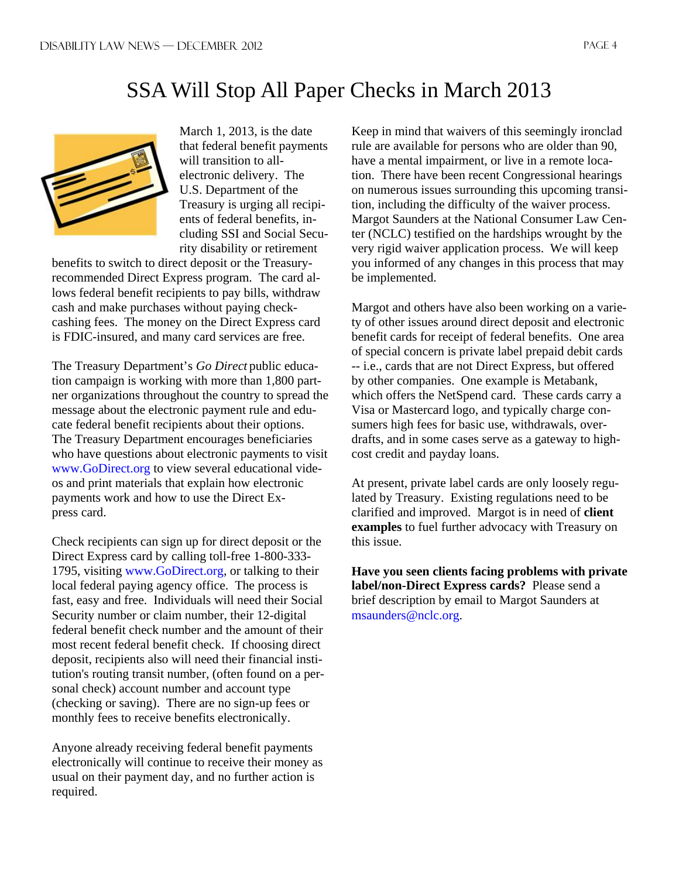## SSA Will Stop All Paper Checks in March 2013



March 1, 2013, is the date that federal benefit payments will transition to allelectronic delivery. The U.S. Department of the Treasury is urging all recipients of federal benefits, including SSI and Social Security disability or retirement

benefits to switch to direct deposit or the Treasuryrecommended Direct Express program. The card allows federal benefit recipients to pay bills, withdraw cash and make purchases without paying checkcashing fees. The money on the Direct Express card is FDIC-insured, and many card services are free.

The Treasury Department's *Go Direct* public education campaign is working with more than 1,800 partner organizations throughout the country to spread the message about the electronic payment rule and educate federal benefit recipients about their options. The Treasury Department encourages beneficiaries who have questions about electronic payments to visit www.GoDirect.org to view several educational videos and print materials that explain how electronic payments work and how to use the Direct Express card.

Check recipients can sign up for direct deposit or the Direct Express card by calling toll-free 1-800-333- 1795, visiting www.GoDirect.org, or talking to their local federal paying agency office. The process is fast, easy and free. Individuals will need their Social Security number or claim number, their 12-digital federal benefit check number and the amount of their most recent federal benefit check. If choosing direct deposit, recipients also will need their financial institution's routing transit number, (often found on a personal check) account number and account type (checking or saving). There are no sign-up fees or monthly fees to receive benefits electronically.

Anyone already receiving federal benefit payments electronically will continue to receive their money as usual on their payment day, and no further action is required.

Keep in mind that waivers of this seemingly ironclad rule are available for persons who are older than 90, have a mental impairment, or live in a remote location. There have been recent Congressional hearings on numerous issues surrounding this upcoming transition, including the difficulty of the waiver process. Margot Saunders at the National Consumer Law Center (NCLC) testified on the hardships wrought by the very rigid waiver application process. We will keep you informed of any changes in this process that may be implemented.

Margot and others have also been working on a variety of other issues around direct deposit and electronic benefit cards for receipt of federal benefits. One area of special concern is private label prepaid debit cards -- i.e., cards that are not Direct Express, but offered by other companies. One example is Metabank, which offers the NetSpend card. These cards carry a Visa or Mastercard logo, and typically charge consumers high fees for basic use, withdrawals, overdrafts, and in some cases serve as a gateway to highcost credit and payday loans.

At present, private label cards are only loosely regulated by Treasury. Existing regulations need to be clarified and improved. Margot is in need of **client examples** to fuel further advocacy with Treasury on this issue.

**Have you seen clients facing problems with private label/non-Direct Express cards?** Please send a brief description by email to Margot Saunders at msaunders@nclc.org.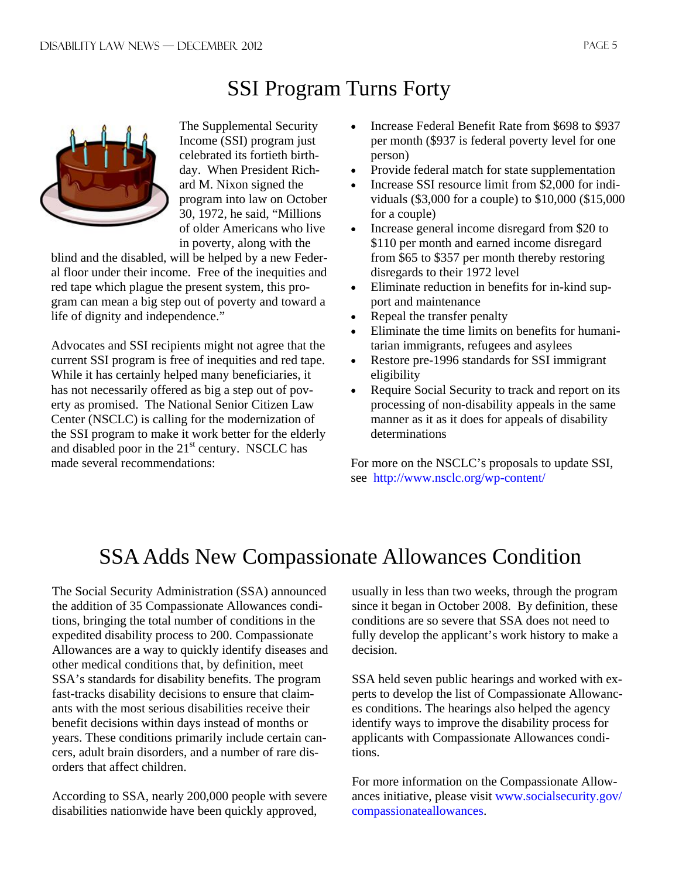# SSI Program Turns Forty



The Supplemental Security Income (SSI) program just celebrated its fortieth birthday. When President Richard M. Nixon signed the program into law on October 30, 1972, he said, "Millions of older Americans who live in poverty, along with the

blind and the disabled, will be helped by a new Federal floor under their income. Free of the inequities and red tape which plague the present system, this program can mean a big step out of poverty and toward a life of dignity and independence."

Advocates and SSI recipients might not agree that the current SSI program is free of inequities and red tape. While it has certainly helped many beneficiaries, it has not necessarily offered as big a step out of poverty as promised. The National Senior Citizen Law Center (NSCLC) is calling for the modernization of the SSI program to make it work better for the elderly and disabled poor in the  $21<sup>st</sup>$  century. NSCLC has made several recommendations:

- Increase Federal Benefit Rate from \$698 to \$937 per month (\$937 is federal poverty level for one person)
- Provide federal match for state supplementation
- Increase SSI resource limit from \$2,000 for individuals (\$3,000 for a couple) to \$10,000 (\$15,000 for a couple)
- Increase general income disregard from \$20 to \$110 per month and earned income disregard from \$65 to \$357 per month thereby restoring disregards to their 1972 level
- Eliminate reduction in benefits for in-kind support and maintenance
- Repeal the transfer penalty
- Eliminate the time limits on benefits for humanitarian immigrants, refugees and asylees
- Restore pre-1996 standards for SSI immigrant eligibility
- Require Social Security to track and report on its processing of non-disability appeals in the same manner as it as it does for appeals of disability determinations

For more on the NSCLC's proposals to update SSI, see http://www.nsclc.org/wp-content/

## SSA Adds New Compassionate Allowances Condition

The Social Security Administration (SSA) announced the addition of 35 Compassionate Allowances conditions, bringing the total number of conditions in the expedited disability process to 200. Compassionate Allowances are a way to quickly identify diseases and other medical conditions that, by definition, meet SSA's standards for disability benefits. The program fast-tracks disability decisions to ensure that claimants with the most serious disabilities receive their benefit decisions within days instead of months or years. These conditions primarily include certain cancers, adult brain disorders, and a number of rare disorders that affect children.

According to SSA, nearly 200,000 people with severe disabilities nationwide have been quickly approved,

usually in less than two weeks, through the program since it began in October 2008. By definition, these conditions are so severe that SSA does not need to fully develop the applicant's work history to make a decision.

SSA held seven public hearings and worked with experts to develop the list of Compassionate Allowances conditions. The hearings also helped the agency identify ways to improve the disability process for applicants with Compassionate Allowances conditions.

For more information on the Compassionate Allowances initiative, please visit www.socialsecurity.gov/ compassionateallowances.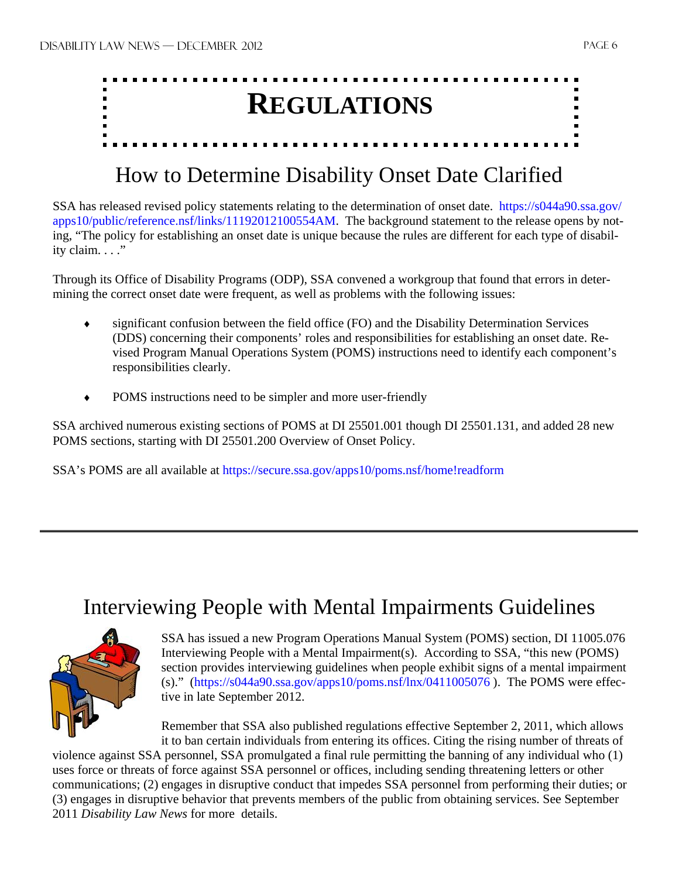

## How to Determine Disability Onset Date Clarified

SSA has released revised policy statements relating to the determination of onset date. https://s044a90.ssa.gov/ apps10/public/reference.nsf/links/11192012100554AM. The background statement to the release opens by noting, "The policy for establishing an onset date is unique because the rules are different for each type of disability claim. . . ."

Through its Office of Disability Programs (ODP), SSA convened a workgroup that found that errors in determining the correct onset date were frequent, as well as problems with the following issues:

- significant confusion between the field office (FO) and the Disability Determination Services (DDS) concerning their components' roles and responsibilities for establishing an onset date. Revised Program Manual Operations System (POMS) instructions need to identify each component's responsibilities clearly.
- POMS instructions need to be simpler and more user-friendly

SSA archived numerous existing sections of POMS at DI 25501.001 though DI 25501.131, and added 28 new POMS sections, starting with DI 25501.200 Overview of Onset Policy.

SSA's POMS are all available at https://secure.ssa.gov/apps10/poms.nsf/home!readform

## Interviewing People with Mental Impairments Guidelines



SSA has issued a new Program Operations Manual System (POMS) section, DI 11005.076 Interviewing People with a Mental Impairment(s). According to SSA, "this new (POMS) section provides interviewing guidelines when people exhibit signs of a mental impairment (s)." (https://s044a90.ssa.gov/apps10/poms.nsf/lnx/0411005076 ). The POMS were effective in late September 2012.

Remember that SSA also published regulations effective September 2, 2011, which allows it to ban certain individuals from entering its offices. Citing the rising number of threats of

violence against SSA personnel, SSA promulgated a final rule permitting the banning of any individual who (1) uses force or threats of force against SSA personnel or offices, including sending threatening letters or other communications; (2) engages in disruptive conduct that impedes SSA personnel from performing their duties; or (3) engages in disruptive behavior that prevents members of the public from obtaining services. See September 2011 *Disability Law News* for more details.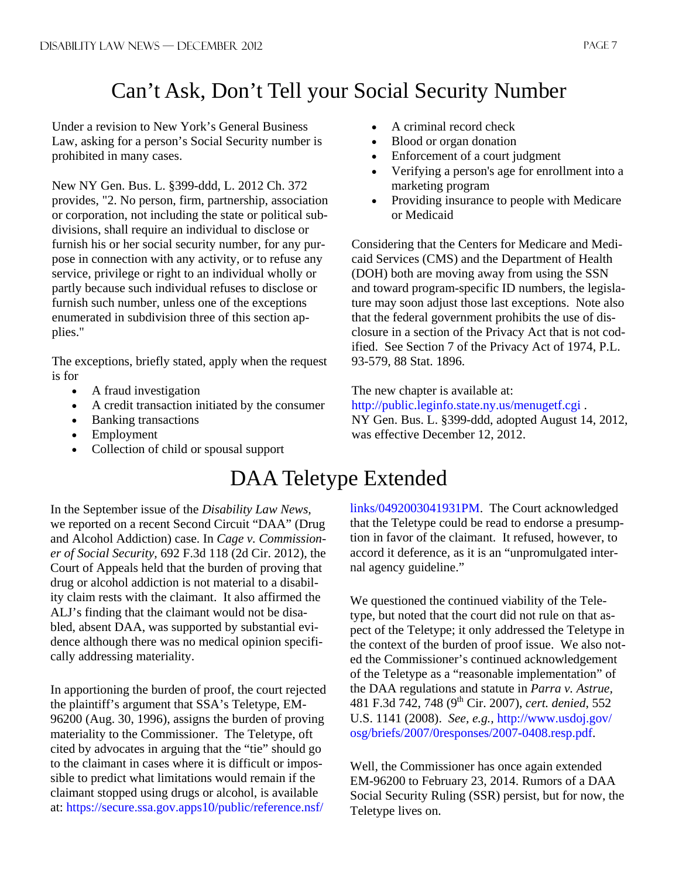# Can't Ask, Don't Tell your Social Security Number

Under a revision to New York's General Business Law, asking for a person's Social Security number is prohibited in many cases.

New NY Gen. Bus. L. §399-ddd, L. 2012 Ch. 372 provides, "2. No person, firm, partnership, association or corporation, not including the state or political subdivisions, shall require an individual to disclose or furnish his or her social security number, for any purpose in connection with any activity, or to refuse any service, privilege or right to an individual wholly or partly because such individual refuses to disclose or furnish such number, unless one of the exceptions enumerated in subdivision three of this section applies."

The exceptions, briefly stated, apply when the request is for

- A fraud investigation
- A credit transaction initiated by the consumer
- Banking transactions
- Employment
- Collection of child or spousal support
- A criminal record check
- Blood or organ donation
- Enforcement of a court judgment
- Verifying a person's age for enrollment into a marketing program
- Providing insurance to people with Medicare or Medicaid

Considering that the Centers for Medicare and Medicaid Services (CMS) and the Department of Health (DOH) both are moving away from using the SSN and toward program-specific ID numbers, the legislature may soon adjust those last exceptions. Note also that the federal government prohibits the use of disclosure in a section of the Privacy Act that is not codified. See Section 7 of the Privacy Act of 1974, P.L. 93-579, 88 Stat. 1896.

The new chapter is available at:

http://public.leginfo.state.ny.us/menugetf.cgi . NY Gen. Bus. L. §399-ddd, adopted August 14, 2012, was effective December 12, 2012.

## DAA Teletype Extended

In the September issue of the *Disability Law News,*  we reported on a recent Second Circuit "DAA" (Drug and Alcohol Addiction) case. In *Cage v. Commissioner of Social Security,* 692 F.3d 118 (2d Cir. 2012), the Court of Appeals held that the burden of proving that drug or alcohol addiction is not material to a disability claim rests with the claimant. It also affirmed the ALJ's finding that the claimant would not be disabled, absent DAA, was supported by substantial evidence although there was no medical opinion specifically addressing materiality.

In apportioning the burden of proof, the court rejected the plaintiff's argument that SSA's Teletype, EM-96200 (Aug. 30, 1996), assigns the burden of proving materiality to the Commissioner. The Teletype, oft cited by advocates in arguing that the "tie" should go to the claimant in cases where it is difficult or impossible to predict what limitations would remain if the claimant stopped using drugs or alcohol, is available at: https://secure.ssa.gov.apps10/public/reference.nsf/

links/0492003041931PM. The Court acknowledged that the Teletype could be read to endorse a presumption in favor of the claimant. It refused, however, to accord it deference, as it is an "unpromulgated internal agency guideline."

We questioned the continued viability of the Teletype, but noted that the court did not rule on that aspect of the Teletype; it only addressed the Teletype in the context of the burden of proof issue. We also noted the Commissioner's continued acknowledgement of the Teletype as a "reasonable implementation" of the DAA regulations and statute in *Parra v. Astrue,*  481 F.3d 742, 748 (9th Cir. 2007), *cert. denied,* 552 U.S. 1141 (2008). *See, e.g.,* http://www.usdoj.gov/ osg/briefs/2007/0responses/2007-0408.resp.pdf.

Well, the Commissioner has once again extended EM-96200 to February 23, 2014. Rumors of a DAA Social Security Ruling (SSR) persist, but for now, the Teletype lives on.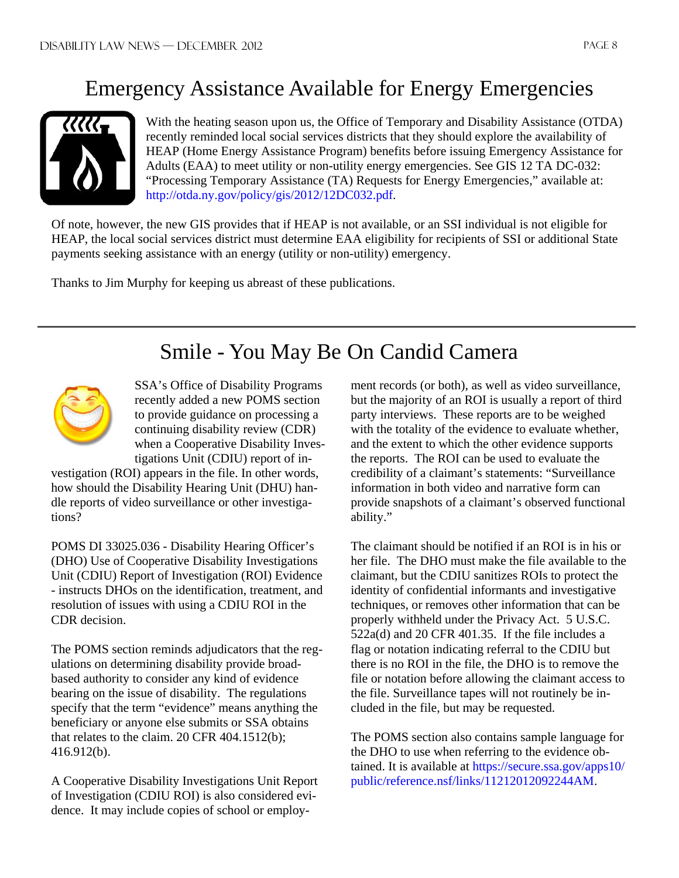## Emergency Assistance Available for Energy Emergencies



With the heating season upon us, the Office of Temporary and Disability Assistance (OTDA) recently reminded local social services districts that they should explore the availability of HEAP (Home Energy Assistance Program) benefits before issuing Emergency Assistance for Adults (EAA) to meet utility or non-utility energy emergencies. See GIS 12 TA DC-032: "Processing Temporary Assistance (TA) Requests for Energy Emergencies," available at: http://otda.ny.gov/policy/gis/2012/12DC032.pdf.

Of note, however, the new GIS provides that if HEAP is not available, or an SSI individual is not eligible for HEAP, the local social services district must determine EAA eligibility for recipients of SSI or additional State payments seeking assistance with an energy (utility or non-utility) emergency.

Thanks to Jim Murphy for keeping us abreast of these publications.

# Smile - You May Be On Candid Camera



SSA's Office of Disability Programs recently added a new POMS section to provide guidance on processing a continuing disability review (CDR) when a Cooperative Disability Investigations Unit (CDIU) report of in-

vestigation (ROI) appears in the file. In other words, how should the Disability Hearing Unit (DHU) handle reports of video surveillance or other investigations?

POMS DI 33025.036 - Disability Hearing Officer's (DHO) Use of Cooperative Disability Investigations Unit (CDIU) Report of Investigation (ROI) Evidence - instructs DHOs on the identification, treatment, and resolution of issues with using a CDIU ROI in the CDR decision.

The POMS section reminds adjudicators that the regulations on determining disability provide broadbased authority to consider any kind of evidence bearing on the issue of disability. The regulations specify that the term "evidence" means anything the beneficiary or anyone else submits or SSA obtains that relates to the claim. 20 CFR 404.1512(b); 416.912(b).

A Cooperative Disability Investigations Unit Report of Investigation (CDIU ROI) is also considered evidence. It may include copies of school or employment records (or both), as well as video surveillance, but the majority of an ROI is usually a report of third party interviews. These reports are to be weighed with the totality of the evidence to evaluate whether, and the extent to which the other evidence supports the reports. The ROI can be used to evaluate the credibility of a claimant's statements: "Surveillance information in both video and narrative form can provide snapshots of a claimant's observed functional ability."

The claimant should be notified if an ROI is in his or her file. The DHO must make the file available to the claimant, but the CDIU sanitizes ROIs to protect the identity of confidential informants and investigative techniques, or removes other information that can be properly withheld under the Privacy Act. 5 U.S.C. 522a(d) and 20 CFR 401.35. If the file includes a flag or notation indicating referral to the CDIU but there is no ROI in the file, the DHO is to remove the file or notation before allowing the claimant access to the file. Surveillance tapes will not routinely be included in the file, but may be requested.

The POMS section also contains sample language for the DHO to use when referring to the evidence obtained. It is available at https://secure.ssa.gov/apps10/ public/reference.nsf/links/11212012092244AM.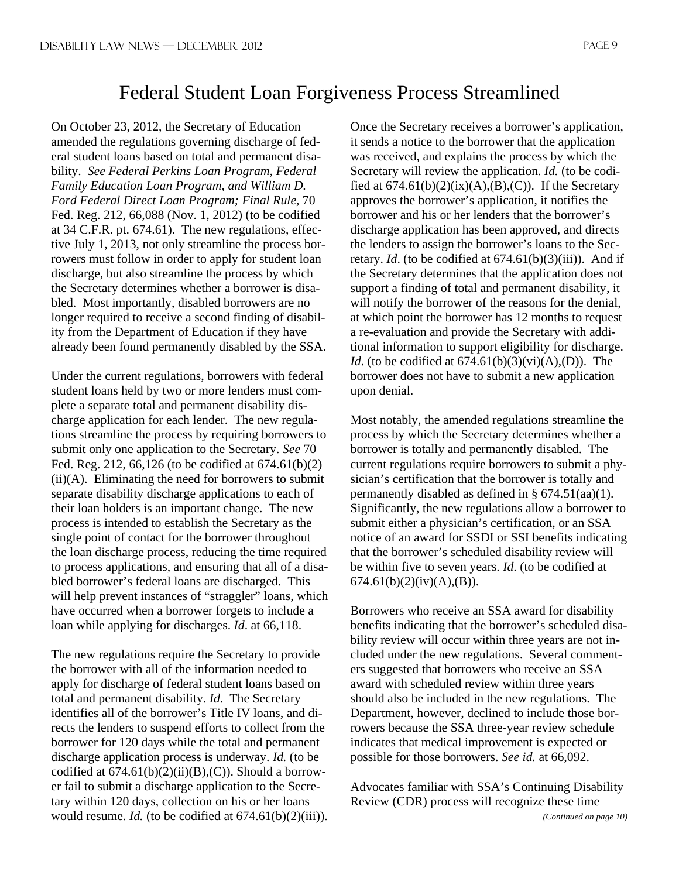## Federal Student Loan Forgiveness Process Streamlined

On October 23, 2012, the Secretary of Education amended the regulations governing discharge of federal student loans based on total and permanent disability. *See Federal Perkins Loan Program, Federal Family Education Loan Program, and William D. Ford Federal Direct Loan Program; Final Rule*, 70 Fed. Reg. 212, 66,088 (Nov. 1, 2012) (to be codified at 34 C.F.R. pt. 674.61). The new regulations, effective July 1, 2013, not only streamline the process borrowers must follow in order to apply for student loan discharge, but also streamline the process by which the Secretary determines whether a borrower is disabled. Most importantly, disabled borrowers are no longer required to receive a second finding of disability from the Department of Education if they have already been found permanently disabled by the SSA.

Under the current regulations, borrowers with federal student loans held by two or more lenders must complete a separate total and permanent disability discharge application for each lender. The new regulations streamline the process by requiring borrowers to submit only one application to the Secretary. *See* 70 Fed. Reg. 212, 66,126 (to be codified at 674.61(b)(2)  $(ii)(A)$ . Eliminating the need for borrowers to submit separate disability discharge applications to each of their loan holders is an important change. The new process is intended to establish the Secretary as the single point of contact for the borrower throughout the loan discharge process, reducing the time required to process applications, and ensuring that all of a disabled borrower's federal loans are discharged. This will help prevent instances of "straggler" loans, which have occurred when a borrower forgets to include a loan while applying for discharges. *Id*. at 66,118.

The new regulations require the Secretary to provide the borrower with all of the information needed to apply for discharge of federal student loans based on total and permanent disability. *Id*. The Secretary identifies all of the borrower's Title IV loans, and directs the lenders to suspend efforts to collect from the borrower for 120 days while the total and permanent discharge application process is underway. *Id.* (to be codified at  $674.61(b)(2)(ii)(B),(C)$ . Should a borrower fail to submit a discharge application to the Secretary within 120 days, collection on his or her loans would resume. *Id.* (to be codified at  $674.61(b)(2)(iii)$ ). Once the Secretary receives a borrower's application, it sends a notice to the borrower that the application was received, and explains the process by which the Secretary will review the application. *Id.* (to be codified at  $674.61(b)(2)(ix)(A),(B),(C)$ ). If the Secretary approves the borrower's application, it notifies the borrower and his or her lenders that the borrower's discharge application has been approved, and directs the lenders to assign the borrower's loans to the Secretary. *Id.* (to be codified at  $674.61(b)(3)(iii)$ ). And if the Secretary determines that the application does not support a finding of total and permanent disability, it will notify the borrower of the reasons for the denial, at which point the borrower has 12 months to request a re-evaluation and provide the Secretary with additional information to support eligibility for discharge. *Id.* (to be codified at  $674.61(b)(3)(vi)(A),(D)$ ). The borrower does not have to submit a new application upon denial.

Most notably, the amended regulations streamline the process by which the Secretary determines whether a borrower is totally and permanently disabled. The current regulations require borrowers to submit a physician's certification that the borrower is totally and permanently disabled as defined in  $\S$  674.51(aa)(1). Significantly, the new regulations allow a borrower to submit either a physician's certification, or an SSA notice of an award for SSDI or SSI benefits indicating that the borrower's scheduled disability review will be within five to seven years. *Id*. (to be codified at  $674.61(b)(2)(iv)(A),(B)).$ 

Borrowers who receive an SSA award for disability benefits indicating that the borrower's scheduled disability review will occur within three years are not included under the new regulations. Several commenters suggested that borrowers who receive an SSA award with scheduled review within three years should also be included in the new regulations. The Department, however, declined to include those borrowers because the SSA three-year review schedule indicates that medical improvement is expected or possible for those borrowers. *See id.* at 66,092.

Advocates familiar with SSA's Continuing Disability Review (CDR) process will recognize these time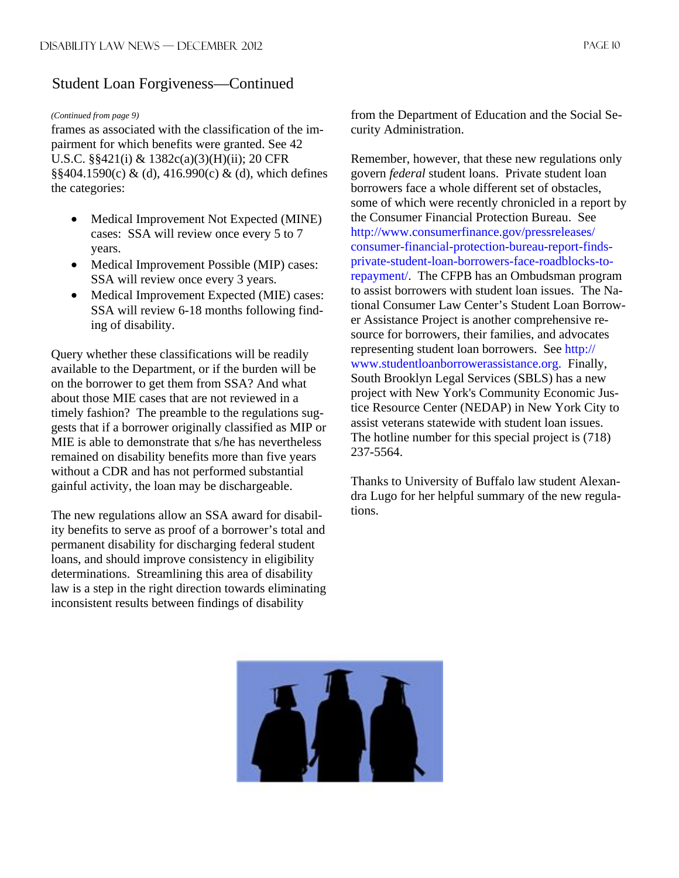#### Student Loan Forgiveness—Continued

#### *(Continued from page 9)*

frames as associated with the classification of the impairment for which benefits were granted. See 42 U.S.C. §§421(i) & 1382c(a)(3)(H)(ii); 20 CFR  $\S$ §404.1590(c) & (d), 416.990(c) & (d), which defines the categories:

- Medical Improvement Not Expected (MINE) cases: SSA will review once every 5 to 7 years.
- Medical Improvement Possible (MIP) cases: SSA will review once every 3 years.
- Medical Improvement Expected (MIE) cases: SSA will review 6-18 months following finding of disability.

Query whether these classifications will be readily available to the Department, or if the burden will be on the borrower to get them from SSA? And what about those MIE cases that are not reviewed in a timely fashion? The preamble to the regulations suggests that if a borrower originally classified as MIP or MIE is able to demonstrate that s/he has nevertheless remained on disability benefits more than five years without a CDR and has not performed substantial gainful activity, the loan may be dischargeable.

The new regulations allow an SSA award for disability benefits to serve as proof of a borrower's total and permanent disability for discharging federal student loans, and should improve consistency in eligibility determinations. Streamlining this area of disability law is a step in the right direction towards eliminating inconsistent results between findings of disability

from the Department of Education and the Social Security Administration.

Remember, however, that these new regulations only govern *federal* student loans. Private student loan borrowers face a whole different set of obstacles, some of which were recently chronicled in a report by the Consumer Financial Protection Bureau. See http://www.consumerfinance.gov/pressreleases/ consumer-financial-protection-bureau-report-findsprivate-student-loan-borrowers-face-roadblocks-torepayment/. The CFPB has an Ombudsman program to assist borrowers with student loan issues. The National Consumer Law Center's Student Loan Borrower Assistance Project is another comprehensive resource for borrowers, their families, and advocates representing student loan borrowers. See http:// www.studentloanborrowerassistance.org. Finally, South Brooklyn Legal Services (SBLS) has a new project with New York's Community Economic Justice Resource Center (NEDAP) in New York City to assist veterans statewide with student loan issues. The hotline number for this special project is (718) 237-5564.

Thanks to University of Buffalo law student Alexandra Lugo for her helpful summary of the new regulations.

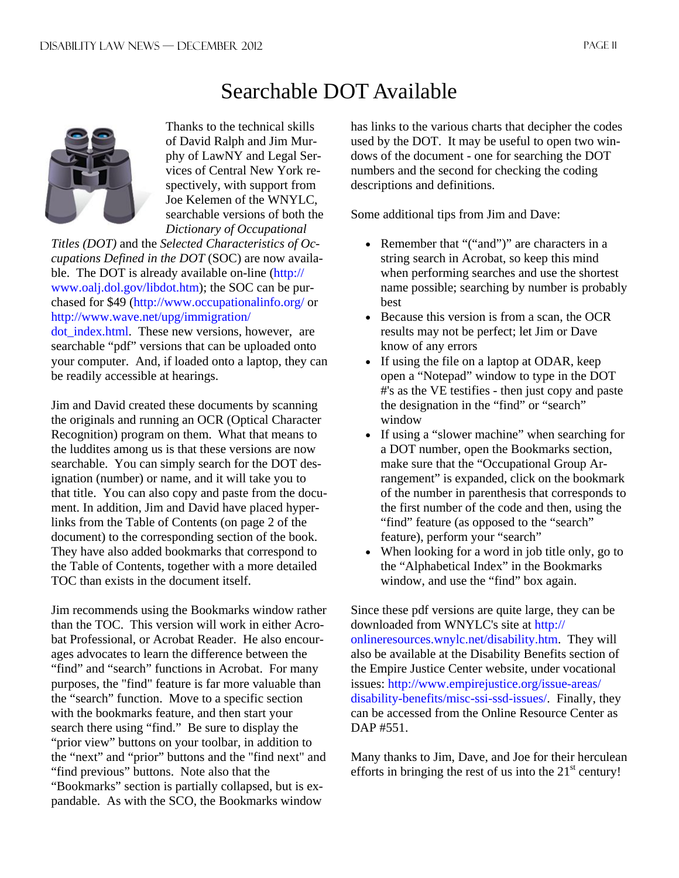## Searchable DOT Available



Thanks to the technical skills of David Ralph and Jim Murphy of LawNY and Legal Services of Central New York respectively, with support from Joe Kelemen of the WNYLC, searchable versions of both the *Dictionary of Occupational* 

*Titles (DOT)* and the *Selected Characteristics of Occupations Defined in the DOT* (SOC) are now available. The DOT is already available on-line (http:// www.oalj.dol.gov/libdot.htm); the SOC can be purchased for \$49 (http://www.occupationalinfo.org/ or http://www.wave.net/upg/immigration/

dot index.html. These new versions, however, are searchable "pdf" versions that can be uploaded onto your computer. And, if loaded onto a laptop, they can be readily accessible at hearings.

Jim and David created these documents by scanning the originals and running an OCR (Optical Character Recognition) program on them. What that means to the luddites among us is that these versions are now searchable. You can simply search for the DOT designation (number) or name, and it will take you to that title. You can also copy and paste from the document. In addition, Jim and David have placed hyperlinks from the Table of Contents (on page 2 of the document) to the corresponding section of the book. They have also added bookmarks that correspond to the Table of Contents, together with a more detailed TOC than exists in the document itself.

Jim recommends using the Bookmarks window rather than the TOC. This version will work in either Acrobat Professional, or Acrobat Reader. He also encourages advocates to learn the difference between the "find" and "search" functions in Acrobat. For many purposes, the "find" feature is far more valuable than the "search" function. Move to a specific section with the bookmarks feature, and then start your search there using "find." Be sure to display the "prior view" buttons on your toolbar, in addition to the "next" and "prior" buttons and the "find next" and "find previous" buttons. Note also that the "Bookmarks" section is partially collapsed, but is expandable. As with the SCO, the Bookmarks window

has links to the various charts that decipher the codes used by the DOT. It may be useful to open two windows of the document - one for searching the DOT numbers and the second for checking the coding descriptions and definitions.

Some additional tips from Jim and Dave:

- Remember that "("and")" are characters in a string search in Acrobat, so keep this mind when performing searches and use the shortest name possible; searching by number is probably best
- Because this version is from a scan, the OCR results may not be perfect; let Jim or Dave know of any errors
- If using the file on a laptop at ODAR, keep open a "Notepad" window to type in the DOT #'s as the VE testifies - then just copy and paste the designation in the "find" or "search" window
- If using a "slower machine" when searching for a DOT number, open the Bookmarks section, make sure that the "Occupational Group Arrangement" is expanded, click on the bookmark of the number in parenthesis that corresponds to the first number of the code and then, using the "find" feature (as opposed to the "search" feature), perform your "search"
- When looking for a word in job title only, go to the "Alphabetical Index" in the Bookmarks window, and use the "find" box again.

Since these pdf versions are quite large, they can be downloaded from WNYLC's site at http:// onlineresources.wnylc.net/disability.htm. They will also be available at the Disability Benefits section of the Empire Justice Center website, under vocational issues: http://www.empirejustice.org/issue-areas/ disability-benefits/misc-ssi-ssd-issues/. Finally, they can be accessed from the Online Resource Center as DAP #551.

Many thanks to Jim, Dave, and Joe for their herculean efforts in bringing the rest of us into the  $21<sup>st</sup>$  century!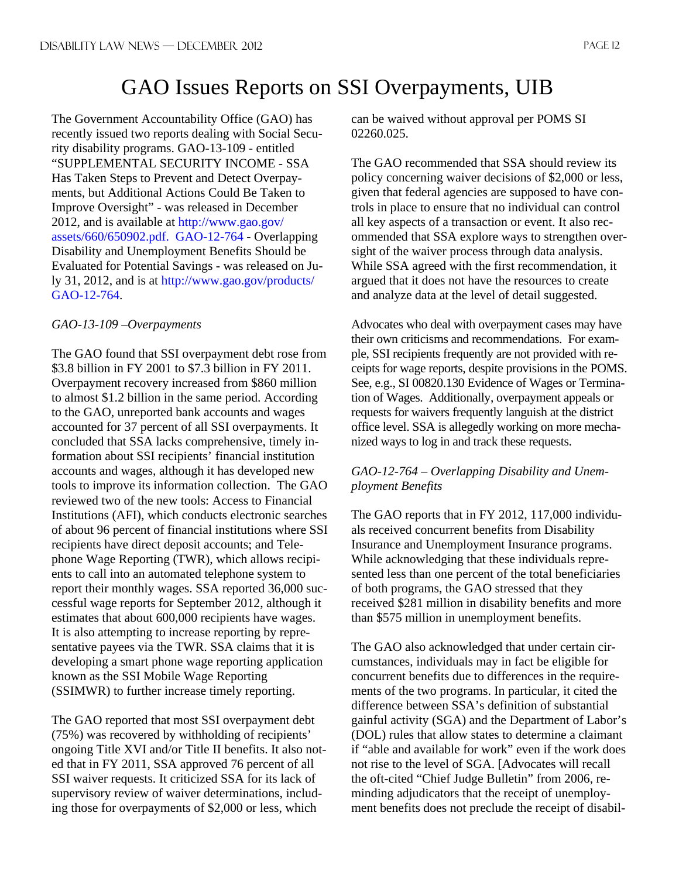## GAO Issues Reports on SSI Overpayments, UIB

The Government Accountability Office (GAO) has recently issued two reports dealing with Social Security disability programs. GAO-13-109 - entitled "SUPPLEMENTAL SECURITY INCOME - SSA Has Taken Steps to Prevent and Detect Overpayments, but Additional Actions Could Be Taken to Improve Oversight" - was released in December 2012, and is available at http://www.gao.gov/ assets/660/650902.pdf. GAO-12-764 - Overlapping Disability and Unemployment Benefits Should be Evaluated for Potential Savings - was released on July 31, 2012, and is at http://www.gao.gov/products/ GAO-12-764.

#### *GAO-13-109 –Overpayments*

The GAO found that SSI overpayment debt rose from \$3.8 billion in FY 2001 to \$7.3 billion in FY 2011. Overpayment recovery increased from \$860 million to almost \$1.2 billion in the same period. According to the GAO, unreported bank accounts and wages accounted for 37 percent of all SSI overpayments. It concluded that SSA lacks comprehensive, timely information about SSI recipients' financial institution accounts and wages, although it has developed new tools to improve its information collection. The GAO reviewed two of the new tools: Access to Financial Institutions (AFI), which conducts electronic searches of about 96 percent of financial institutions where SSI recipients have direct deposit accounts; and Telephone Wage Reporting (TWR), which allows recipients to call into an automated telephone system to report their monthly wages. SSA reported 36,000 successful wage reports for September 2012, although it estimates that about 600,000 recipients have wages. It is also attempting to increase reporting by representative payees via the TWR. SSA claims that it is developing a smart phone wage reporting application known as the SSI Mobile Wage Reporting (SSIMWR) to further increase timely reporting.

The GAO reported that most SSI overpayment debt (75%) was recovered by withholding of recipients' ongoing Title XVI and/or Title II benefits. It also noted that in FY 2011, SSA approved 76 percent of all SSI waiver requests. It criticized SSA for its lack of supervisory review of waiver determinations, including those for overpayments of \$2,000 or less, which

can be waived without approval per POMS SI 02260.025.

The GAO recommended that SSA should review its policy concerning waiver decisions of \$2,000 or less, given that federal agencies are supposed to have controls in place to ensure that no individual can control all key aspects of a transaction or event. It also recommended that SSA explore ways to strengthen oversight of the waiver process through data analysis. While SSA agreed with the first recommendation, it argued that it does not have the resources to create and analyze data at the level of detail suggested.

Advocates who deal with overpayment cases may have their own criticisms and recommendations. For example, SSI recipients frequently are not provided with receipts for wage reports, despite provisions in the POMS. See, e.g., SI 00820.130 Evidence of Wages or Termination of Wages. Additionally, overpayment appeals or requests for waivers frequently languish at the district office level. SSA is allegedly working on more mechanized ways to log in and track these requests.

#### *GAO-12-764 – Overlapping Disability and Unemployment Benefits*

The GAO reports that in FY 2012, 117,000 individuals received concurrent benefits from Disability Insurance and Unemployment Insurance programs. While acknowledging that these individuals represented less than one percent of the total beneficiaries of both programs, the GAO stressed that they received \$281 million in disability benefits and more than \$575 million in unemployment benefits.

The GAO also acknowledged that under certain circumstances, individuals may in fact be eligible for concurrent benefits due to differences in the requirements of the two programs. In particular, it cited the difference between SSA's definition of substantial gainful activity (SGA) and the Department of Labor's (DOL) rules that allow states to determine a claimant if "able and available for work" even if the work does not rise to the level of SGA. [Advocates will recall the oft-cited "Chief Judge Bulletin" from 2006, reminding adjudicators that the receipt of unemployment benefits does not preclude the receipt of disabil-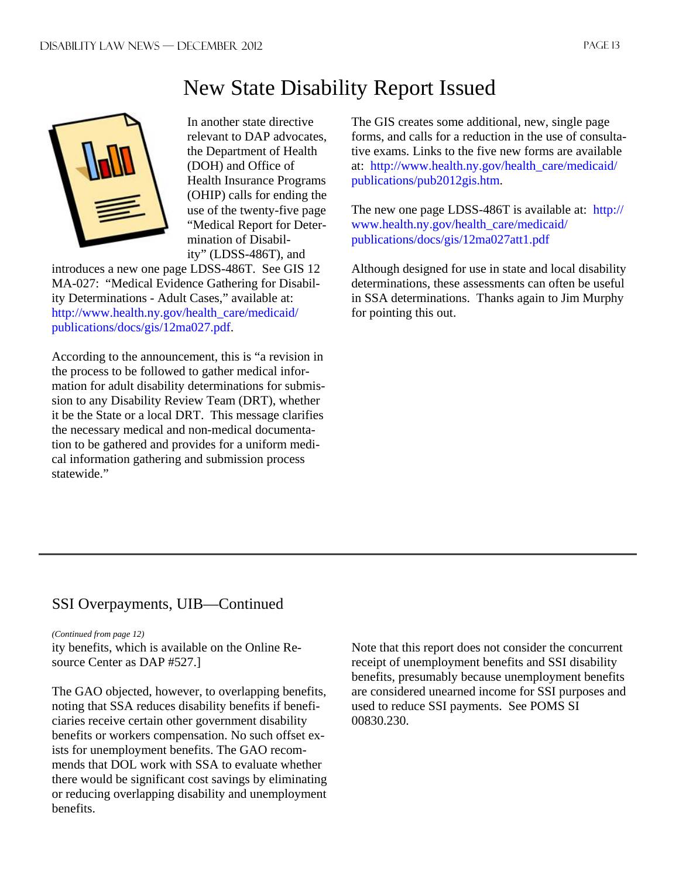## New State Disability Report Issued



In another state directive relevant to DAP advocates, the Department of Health (DOH) and Office of Health Insurance Programs (OHIP) calls for ending the use of the twenty-five page "Medical Report for Determination of Disability" (LDSS-486T), and

introduces a new one page LDSS-486T. See GIS 12 MA-027: "Medical Evidence Gathering for Disability Determinations - Adult Cases," available at: http://www.health.ny.gov/health\_care/medicaid/ publications/docs/gis/12ma027.pdf.

According to the announcement, this is "a revision in the process to be followed to gather medical information for adult disability determinations for submission to any Disability Review Team (DRT), whether it be the State or a local DRT. This message clarifies the necessary medical and non-medical documentation to be gathered and provides for a uniform medical information gathering and submission process statewide."

The GIS creates some additional, new, single page forms, and calls for a reduction in the use of consultative exams. Links to the five new forms are available at: http://www.health.ny.gov/health\_care/medicaid/ publications/pub2012gis.htm.

The new one page LDSS-486T is available at: http:// www.health.ny.gov/health\_care/medicaid/ publications/docs/gis/12ma027att1.pdf

Although designed for use in state and local disability determinations, these assessments can often be useful in SSA determinations. Thanks again to Jim Murphy for pointing this out.

#### SSI Overpayments, UIB—Continued

*(Continued from page 12)* 

ity benefits, which is available on the Online Resource Center as DAP #527.]

The GAO objected, however, to overlapping benefits, noting that SSA reduces disability benefits if beneficiaries receive certain other government disability benefits or workers compensation. No such offset exists for unemployment benefits. The GAO recommends that DOL work with SSA to evaluate whether there would be significant cost savings by eliminating or reducing overlapping disability and unemployment benefits.

Note that this report does not consider the concurrent receipt of unemployment benefits and SSI disability benefits, presumably because unemployment benefits are considered unearned income for SSI purposes and used to reduce SSI payments. See POMS SI 00830.230.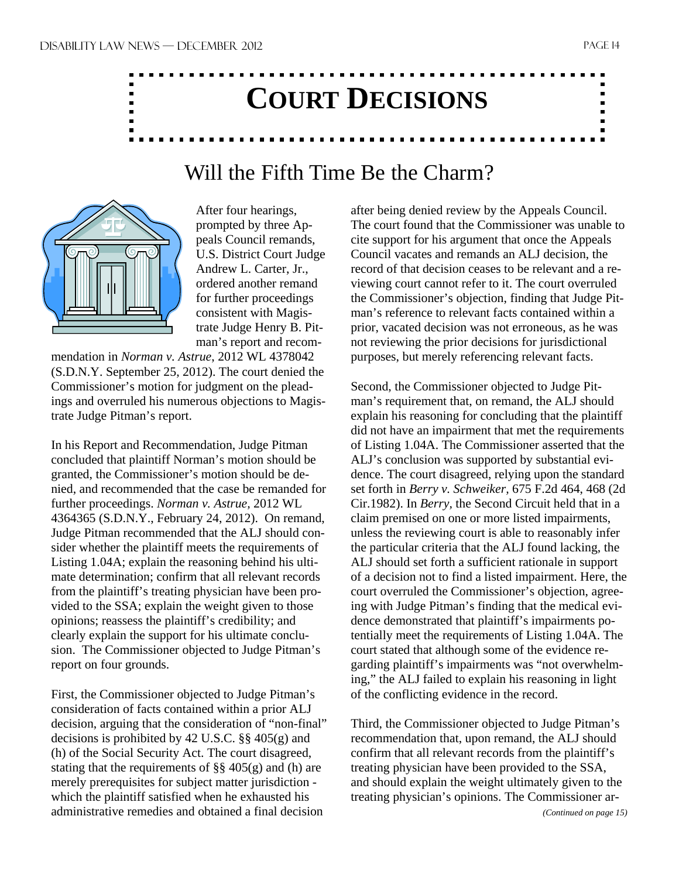# **COURT DECISIONS**

## Will the Fifth Time Be the Charm?



After four hearings, prompted by three Appeals Council remands, U.S. District Court Judge Andrew L. Carter, Jr., ordered another remand for further proceedings consistent with Magistrate Judge Henry B. Pitman's report and recom-

mendation in *Norman v. Astrue*, 2012 WL 4378042 (S.D.N.Y. September 25, 2012). The court denied the Commissioner's motion for judgment on the pleadings and overruled his numerous objections to Magistrate Judge Pitman's report.

In his Report and Recommendation, Judge Pitman concluded that plaintiff Norman's motion should be granted, the Commissioner's motion should be denied, and recommended that the case be remanded for further proceedings. *Norman v. Astrue,* 2012 WL 4364365 (S.D.N.Y., February 24, 2012). On remand, Judge Pitman recommended that the ALJ should consider whether the plaintiff meets the requirements of Listing 1.04A; explain the reasoning behind his ultimate determination; confirm that all relevant records from the plaintiff's treating physician have been provided to the SSA; explain the weight given to those opinions; reassess the plaintiff's credibility; and clearly explain the support for his ultimate conclusion. The Commissioner objected to Judge Pitman's report on four grounds.

First, the Commissioner objected to Judge Pitman's consideration of facts contained within a prior ALJ decision, arguing that the consideration of "non-final" decisions is prohibited by 42 U.S.C. §§ 405(g) and (h) of the Social Security Act. The court disagreed, stating that the requirements of  $\S$ § 405(g) and (h) are merely prerequisites for subject matter jurisdiction which the plaintiff satisfied when he exhausted his administrative remedies and obtained a final decision

after being denied review by the Appeals Council. The court found that the Commissioner was unable to cite support for his argument that once the Appeals Council vacates and remands an ALJ decision, the record of that decision ceases to be relevant and a reviewing court cannot refer to it. The court overruled the Commissioner's objection, finding that Judge Pitman's reference to relevant facts contained within a prior, vacated decision was not erroneous, as he was not reviewing the prior decisions for jurisdictional purposes, but merely referencing relevant facts.

Second, the Commissioner objected to Judge Pitman's requirement that, on remand, the ALJ should explain his reasoning for concluding that the plaintiff did not have an impairment that met the requirements of Listing 1.04A. The Commissioner asserted that the ALJ's conclusion was supported by substantial evidence. The court disagreed, relying upon the standard set forth in *Berry v. Schweiker,* 675 F.2d 464, 468 (2d Cir.1982). In *Berry,* the Second Circuit held that in a claim premised on one or more listed impairments, unless the reviewing court is able to reasonably infer the particular criteria that the ALJ found lacking, the ALJ should set forth a sufficient rationale in support of a decision not to find a listed impairment. Here, the court overruled the Commissioner's objection, agreeing with Judge Pitman's finding that the medical evidence demonstrated that plaintiff's impairments potentially meet the requirements of Listing 1.04A. The court stated that although some of the evidence regarding plaintiff's impairments was "not overwhelming," the ALJ failed to explain his reasoning in light of the conflicting evidence in the record.

Third, the Commissioner objected to Judge Pitman's recommendation that, upon remand, the ALJ should confirm that all relevant records from the plaintiff's treating physician have been provided to the SSA, and should explain the weight ultimately given to the treating physician's opinions. The Commissioner ar-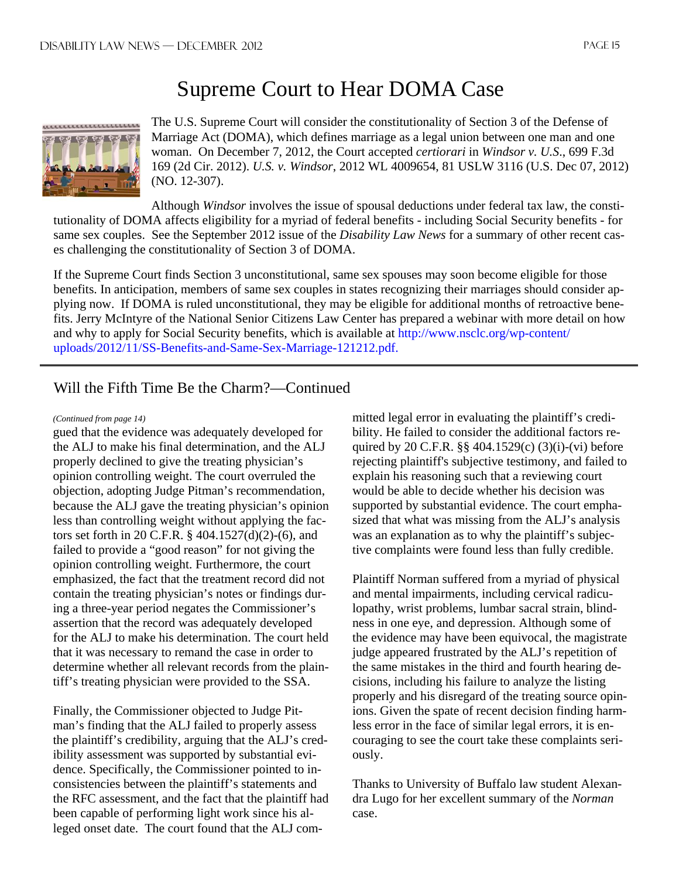## Supreme Court to Hear DOMA Case



The U.S. Supreme Court will consider the constitutionality of Section 3 of the Defense of Marriage Act (DOMA), which defines marriage as a legal union between one man and one woman. On December 7, 2012, the Court accepted *certiorari* in *Windsor v. U.S*., 699 F.3d 169 (2d Cir. 2012). *U.S. v. Windsor*, 2012 WL 4009654, 81 USLW 3116 (U.S. Dec 07, 2012) (NO. 12-307).

Although *Windsor* involves the issue of spousal deductions under federal tax law, the constitutionality of DOMA affects eligibility for a myriad of federal benefits - including Social Security benefits - for same sex couples. See the September 2012 issue of the *Disability Law News* for a summary of other recent cases challenging the constitutionality of Section 3 of DOMA.

If the Supreme Court finds Section 3 unconstitutional, same sex spouses may soon become eligible for those benefits. In anticipation, members of same sex couples in states recognizing their marriages should consider applying now. If DOMA is ruled unconstitutional, they may be eligible for additional months of retroactive benefits. Jerry McIntyre of the National Senior Citizens Law Center has prepared a webinar with more detail on how and why to apply for Social Security benefits, which is available at http://www.nsclc.org/wp-content/ uploads/2012/11/SS-Benefits-and-Same-Sex-Marriage-121212.pdf.

#### Will the Fifth Time Be the Charm?—Continued

#### *(Continued from page 14)*

gued that the evidence was adequately developed for the ALJ to make his final determination, and the ALJ properly declined to give the treating physician's opinion controlling weight. The court overruled the objection, adopting Judge Pitman's recommendation, because the ALJ gave the treating physician's opinion less than controlling weight without applying the factors set forth in 20 C.F.R. § 404.1527(d)(2)-(6), and failed to provide a "good reason" for not giving the opinion controlling weight. Furthermore, the court emphasized, the fact that the treatment record did not contain the treating physician's notes or findings during a three-year period negates the Commissioner's assertion that the record was adequately developed for the ALJ to make his determination. The court held that it was necessary to remand the case in order to determine whether all relevant records from the plaintiff's treating physician were provided to the SSA.

Finally, the Commissioner objected to Judge Pitman's finding that the ALJ failed to properly assess the plaintiff's credibility, arguing that the ALJ's credibility assessment was supported by substantial evidence. Specifically, the Commissioner pointed to inconsistencies between the plaintiff's statements and the RFC assessment, and the fact that the plaintiff had been capable of performing light work since his alleged onset date. The court found that the ALJ committed legal error in evaluating the plaintiff's credibility. He failed to consider the additional factors required by 20 C.F.R. §§ 404.1529(c) (3)(i)-(vi) before rejecting plaintiff's subjective testimony, and failed to explain his reasoning such that a reviewing court would be able to decide whether his decision was supported by substantial evidence. The court emphasized that what was missing from the ALJ's analysis was an explanation as to why the plaintiff's subjective complaints were found less than fully credible.

Plaintiff Norman suffered from a myriad of physical and mental impairments, including cervical radiculopathy, wrist problems, lumbar sacral strain, blindness in one eye, and depression. Although some of the evidence may have been equivocal, the magistrate judge appeared frustrated by the ALJ's repetition of the same mistakes in the third and fourth hearing decisions, including his failure to analyze the listing properly and his disregard of the treating source opinions. Given the spate of recent decision finding harmless error in the face of similar legal errors, it is encouraging to see the court take these complaints seriously.

Thanks to University of Buffalo law student Alexandra Lugo for her excellent summary of the *Norman*  case.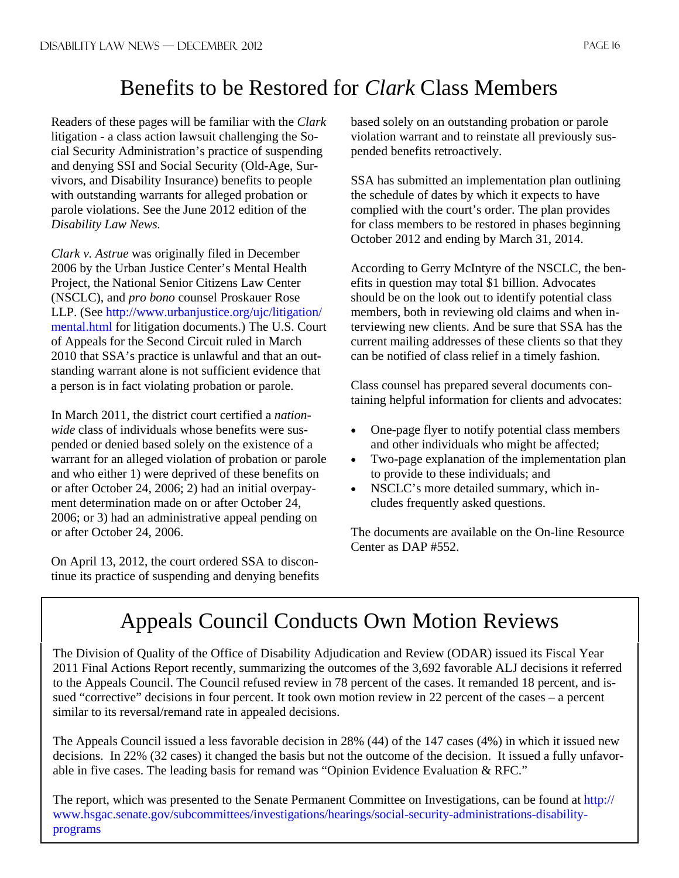## Benefits to be Restored for *Clark* Class Members

Readers of these pages will be familiar with the *Clark*  litigation - a class action lawsuit challenging the Social Security Administration's practice of suspending and denying SSI and Social Security (Old-Age, Survivors, and Disability Insurance) benefits to people with outstanding warrants for alleged probation or parole violations. See the June 2012 edition of the *Disability Law News.* 

*Clark v. Astrue* was originally filed in December 2006 by the Urban Justice Center's Mental Health Project, the National Senior Citizens Law Center (NSCLC), and *pro bono* counsel Proskauer Rose LLP. (See http://www.urbanjustice.org/ujc/litigation/ mental.html for litigation documents.) The U.S. Court of Appeals for the Second Circuit ruled in March 2010 that SSA's practice is unlawful and that an outstanding warrant alone is not sufficient evidence that a person is in fact violating probation or parole.

In March 2011, the district court certified a *nationwide* class of individuals whose benefits were suspended or denied based solely on the existence of a warrant for an alleged violation of probation or parole and who either 1) were deprived of these benefits on or after October 24, 2006; 2) had an initial overpayment determination made on or after October 24, 2006; or 3) had an administrative appeal pending on or after October 24, 2006.

On April 13, 2012, the court ordered SSA to discontinue its practice of suspending and denying benefits based solely on an outstanding probation or parole violation warrant and to reinstate all previously suspended benefits retroactively.

SSA has submitted an implementation plan outlining the schedule of dates by which it expects to have complied with the court's order. The plan provides for class members to be restored in phases beginning October 2012 and ending by March 31, 2014.

According to Gerry McIntyre of the NSCLC, the benefits in question may total \$1 billion. Advocates should be on the look out to identify potential class members, both in reviewing old claims and when interviewing new clients. And be sure that SSA has the current mailing addresses of these clients so that they can be notified of class relief in a timely fashion.

Class counsel has prepared several documents containing helpful information for clients and advocates:

- One-page flyer to notify potential class members and other individuals who might be affected;
- Two-page explanation of the implementation plan to provide to these individuals; and
- NSCLC's more detailed summary, which includes frequently asked questions.

The documents are available on the On-line Resource Center as DAP #552.

# Appeals Council Conducts Own Motion Reviews

The Division of Quality of the Office of Disability Adjudication and Review (ODAR) issued its Fiscal Year 2011 Final Actions Report recently, summarizing the outcomes of the 3,692 favorable ALJ decisions it referred to the Appeals Council. The Council refused review in 78 percent of the cases. It remanded 18 percent, and issued "corrective" decisions in four percent. It took own motion review in 22 percent of the cases – a percent similar to its reversal/remand rate in appealed decisions.

The Appeals Council issued a less favorable decision in 28% (44) of the 147 cases (4%) in which it issued new decisions. In 22% (32 cases) it changed the basis but not the outcome of the decision. It issued a fully unfavorable in five cases. The leading basis for remand was "Opinion Evidence Evaluation & RFC."

The report, which was presented to the Senate Permanent Committee on Investigations, can be found at http:// www.hsgac.senate.gov/subcommittees/investigations/hearings/social-security-administrations-disabilityprograms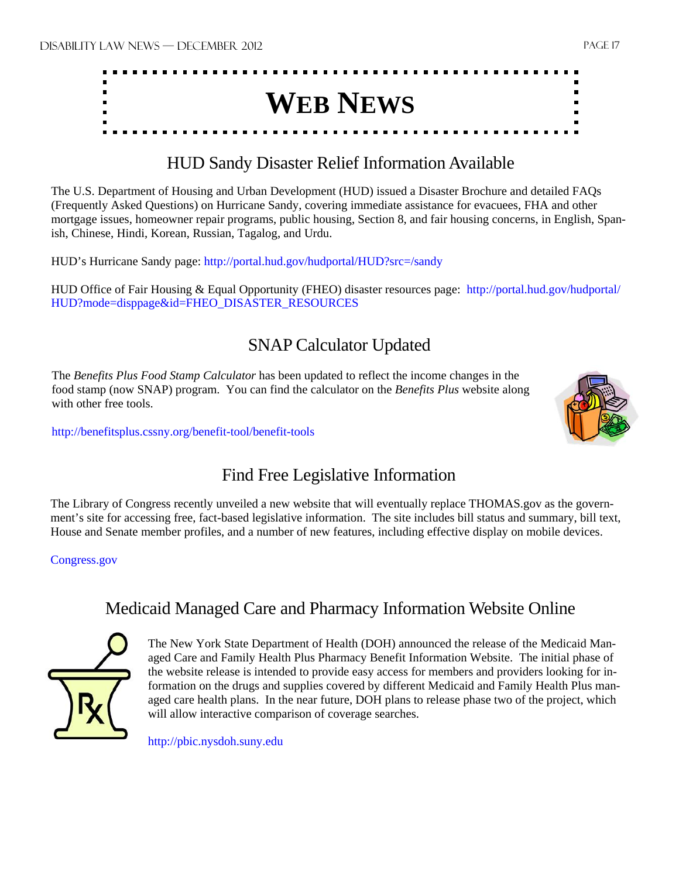

#### HUD Sandy Disaster Relief Information Available

The U.S. Department of Housing and Urban Development (HUD) issued a Disaster Brochure and detailed FAQs (Frequently Asked Questions) on Hurricane Sandy, covering immediate assistance for evacuees, FHA and other mortgage issues, homeowner repair programs, public housing, Section 8, and fair housing concerns, in English, Spanish, Chinese, Hindi, Korean, Russian, Tagalog, and Urdu.

HUD's Hurricane Sandy page: http://portal.hud.gov/hudportal/HUD?src=/sandy

HUD Office of Fair Housing & Equal Opportunity (FHEO) disaster resources page: http://portal.hud.gov/hudportal/ HUD?mode=disppage&id=FHEO\_DISASTER\_RESOURCES

### SNAP Calculator Updated

The *Benefits Plus Food Stamp Calculator* has been updated to reflect the income changes in the food stamp (now SNAP) program. You can find the calculator on the *Benefits Plus* website along with other free tools.

http://benefitsplus.cssny.org/benefit-tool/benefit-tools



## Find Free Legislative Information

The Library of Congress recently unveiled a new website that will eventually replace THOMAS.gov as the government's site for accessing free, fact-based legislative information. The site includes bill status and summary, bill text, House and Senate member profiles, and a number of new features, including effective display on mobile devices.

Congress.gov

## Medicaid Managed Care and Pharmacy Information Website Online



The New York State Department of Health (DOH) announced the release of the Medicaid Managed Care and Family Health Plus Pharmacy Benefit Information Website. The initial phase of the website release is intended to provide easy access for members and providers looking for information on the drugs and supplies covered by different Medicaid and Family Health Plus managed care health plans. In the near future, DOH plans to release phase two of the project, which will allow interactive comparison of coverage searches.

http://pbic.nysdoh.suny.edu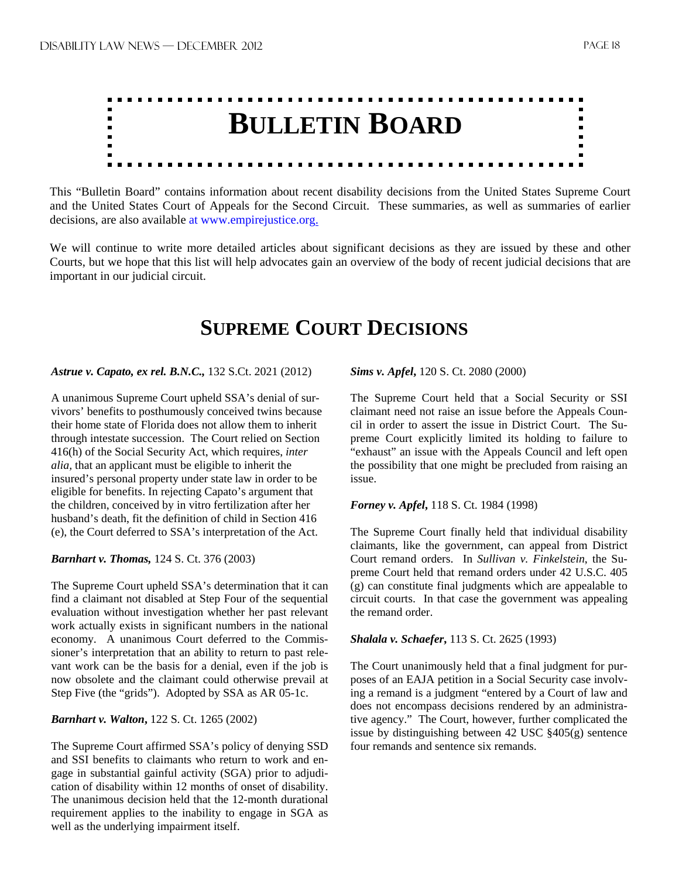

This "Bulletin Board" contains information about recent disability decisions from the United States Supreme Court and the United States Court of Appeals for the Second Circuit. These summaries, as well as summaries of earlier decisions, are also available at www.empirejustice.org.

We will continue to write more detailed articles about significant decisions as they are issued by these and other Courts, but we hope that this list will help advocates gain an overview of the body of recent judicial decisions that are important in our judicial circuit.

## **SUPREME COURT DECISIONS**

#### *Astrue v. Capato, ex rel. B.N.C.,* 132 S.Ct. 2021 (2012)

A unanimous Supreme Court upheld SSA's denial of survivors' benefits to posthumously conceived twins because their home state of Florida does not allow them to inherit through intestate succession. The Court relied on Section 416(h) of the Social Security Act, which requires, *inter alia,* that an applicant must be eligible to inherit the insured's personal property under state law in order to be eligible for benefits. In rejecting Capato's argument that the children, conceived by in vitro fertilization after her husband's death, fit the definition of child in Section 416 (e), the Court deferred to SSA's interpretation of the Act.

#### *Barnhart v. Thomas,* 124 S. Ct. 376 (2003)

The Supreme Court upheld SSA's determination that it can find a claimant not disabled at Step Four of the sequential evaluation without investigation whether her past relevant work actually exists in significant numbers in the national economy. A unanimous Court deferred to the Commissioner's interpretation that an ability to return to past relevant work can be the basis for a denial, even if the job is now obsolete and the claimant could otherwise prevail at Step Five (the "grids"). Adopted by SSA as AR 05-1c.

#### *Barnhart v. Walton***,** 122 S. Ct. 1265 (2002)

The Supreme Court affirmed SSA's policy of denying SSD and SSI benefits to claimants who return to work and engage in substantial gainful activity (SGA) prior to adjudication of disability within 12 months of onset of disability. The unanimous decision held that the 12-month durational requirement applies to the inability to engage in SGA as well as the underlying impairment itself.

*Sims v. Apfel***,** 120 S. Ct. 2080 (2000)

The Supreme Court held that a Social Security or SSI claimant need not raise an issue before the Appeals Council in order to assert the issue in District Court. The Supreme Court explicitly limited its holding to failure to "exhaust" an issue with the Appeals Council and left open the possibility that one might be precluded from raising an issue.

#### *Forney v. Apfel***,** 118 S. Ct. 1984 (1998)

The Supreme Court finally held that individual disability claimants, like the government, can appeal from District Court remand orders. In *Sullivan v. Finkelstein*, the Supreme Court held that remand orders under 42 U.S.C. 405 (g) can constitute final judgments which are appealable to circuit courts. In that case the government was appealing the remand order.

#### *Shalala v. Schaefer***,** 113 S. Ct. 2625 (1993)

The Court unanimously held that a final judgment for purposes of an EAJA petition in a Social Security case involving a remand is a judgment "entered by a Court of law and does not encompass decisions rendered by an administrative agency." The Court, however, further complicated the issue by distinguishing between 42 USC §405(g) sentence four remands and sentence six remands.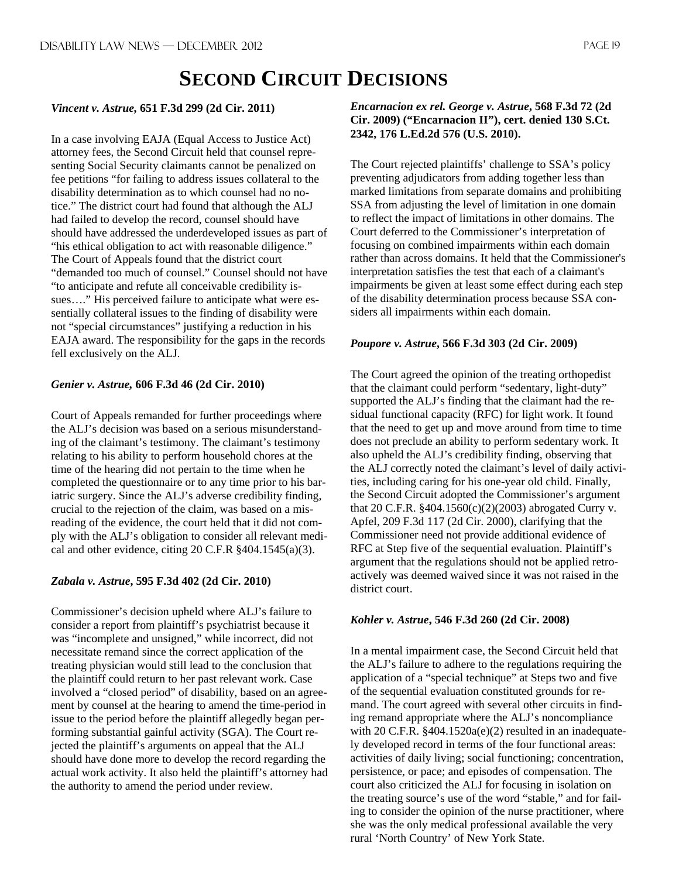## **SECOND CIRCUIT DECISIONS**

#### *Vincent v. Astrue,* **651 F.3d 299 (2d Cir. 2011)**

In a case involving EAJA (Equal Access to Justice Act) attorney fees, the Second Circuit held that counsel representing Social Security claimants cannot be penalized on fee petitions "for failing to address issues collateral to the disability determination as to which counsel had no notice." The district court had found that although the ALJ had failed to develop the record, counsel should have should have addressed the underdeveloped issues as part of "his ethical obligation to act with reasonable diligence." The Court of Appeals found that the district court "demanded too much of counsel." Counsel should not have "to anticipate and refute all conceivable credibility issues…." His perceived failure to anticipate what were essentially collateral issues to the finding of disability were not "special circumstances" justifying a reduction in his EAJA award. The responsibility for the gaps in the records fell exclusively on the ALJ.

#### *Genier v. Astrue,* **606 F.3d 46 (2d Cir. 2010)**

Court of Appeals remanded for further proceedings where the ALJ's decision was based on a serious misunderstanding of the claimant's testimony. The claimant's testimony relating to his ability to perform household chores at the time of the hearing did not pertain to the time when he completed the questionnaire or to any time prior to his bariatric surgery. Since the ALJ's adverse credibility finding, crucial to the rejection of the claim, was based on a misreading of the evidence, the court held that it did not comply with the ALJ's obligation to consider all relevant medical and other evidence, citing 20 C.F.R §404.1545(a)(3).

#### *Zabala v. Astrue***, 595 F.3d 402 (2d Cir. 2010)**

Commissioner's decision upheld where ALJ's failure to consider a report from plaintiff's psychiatrist because it was "incomplete and unsigned," while incorrect, did not necessitate remand since the correct application of the treating physician would still lead to the conclusion that the plaintiff could return to her past relevant work. Case involved a "closed period" of disability, based on an agreement by counsel at the hearing to amend the time-period in issue to the period before the plaintiff allegedly began performing substantial gainful activity (SGA). The Court rejected the plaintiff's arguments on appeal that the ALJ should have done more to develop the record regarding the actual work activity. It also held the plaintiff's attorney had the authority to amend the period under review.

#### *Encarnacion ex rel. George v. Astrue***, 568 F.3d 72 (2d Cir. 2009) ("Encarnacion II"), cert. denied 130 S.Ct. 2342, 176 L.Ed.2d 576 (U.S. 2010).**

The Court rejected plaintiffs' challenge to SSA's policy preventing adjudicators from adding together less than marked limitations from separate domains and prohibiting SSA from adjusting the level of limitation in one domain to reflect the impact of limitations in other domains. The Court deferred to the Commissioner's interpretation of focusing on combined impairments within each domain rather than across domains. It held that the Commissioner's interpretation satisfies the test that each of a claimant's impairments be given at least some effect during each step of the disability determination process because SSA considers all impairments within each domain.

#### *Poupore v. Astrue***, 566 F.3d 303 (2d Cir. 2009)**

The Court agreed the opinion of the treating orthopedist that the claimant could perform "sedentary, light-duty" supported the ALJ's finding that the claimant had the residual functional capacity (RFC) for light work. It found that the need to get up and move around from time to time does not preclude an ability to perform sedentary work. It also upheld the ALJ's credibility finding, observing that the ALJ correctly noted the claimant's level of daily activities, including caring for his one-year old child. Finally, the Second Circuit adopted the Commissioner's argument that 20 C.F.R. §404.1560(c)(2)(2003) abrogated Curry v. Apfel, 209 F.3d 117 (2d Cir. 2000), clarifying that the Commissioner need not provide additional evidence of RFC at Step five of the sequential evaluation. Plaintiff's argument that the regulations should not be applied retroactively was deemed waived since it was not raised in the district court.

#### *Kohler v. Astrue***, 546 F.3d 260 (2d Cir. 2008)**

In a mental impairment case, the Second Circuit held that the ALJ's failure to adhere to the regulations requiring the application of a "special technique" at Steps two and five of the sequential evaluation constituted grounds for remand. The court agreed with several other circuits in finding remand appropriate where the ALJ's noncompliance with 20 C.F.R. §404.1520a(e)(2) resulted in an inadequately developed record in terms of the four functional areas: activities of daily living; social functioning; concentration, persistence, or pace; and episodes of compensation. The court also criticized the ALJ for focusing in isolation on the treating source's use of the word "stable," and for failing to consider the opinion of the nurse practitioner, where she was the only medical professional available the very rural 'North Country' of New York State.